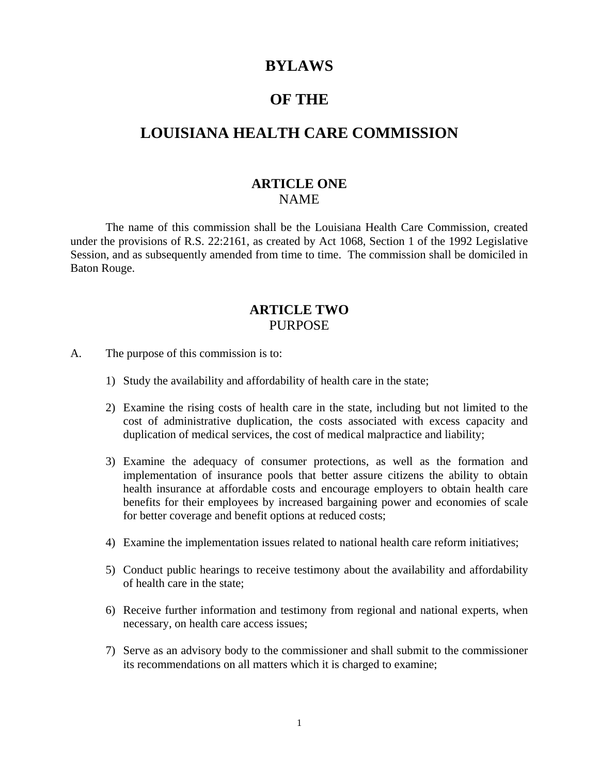# **BYLAWS**

## **OF THE**

# **LOUISIANA HEALTH CARE COMMISSION**

### **ARTICLE ONE** NAME

The name of this commission shall be the Louisiana Health Care Commission, created under the provisions of R.S. 22:2161, as created by Act 1068, Section 1 of the 1992 Legislative Session, and as subsequently amended from time to time. The commission shall be domiciled in Baton Rouge.

## **ARTICLE TWO** PURPOSE

- A. The purpose of this commission is to:
	- 1) Study the availability and affordability of health care in the state;
	- 2) Examine the rising costs of health care in the state, including but not limited to the cost of administrative duplication, the costs associated with excess capacity and duplication of medical services, the cost of medical malpractice and liability;
	- 3) Examine the adequacy of consumer protections, as well as the formation and implementation of insurance pools that better assure citizens the ability to obtain health insurance at affordable costs and encourage employers to obtain health care benefits for their employees by increased bargaining power and economies of scale for better coverage and benefit options at reduced costs;
	- 4) Examine the implementation issues related to national health care reform initiatives;
	- 5) Conduct public hearings to receive testimony about the availability and affordability of health care in the state;
	- 6) Receive further information and testimony from regional and national experts, when necessary, on health care access issues;
	- 7) Serve as an advisory body to the commissioner and shall submit to the commissioner its recommendations on all matters which it is charged to examine;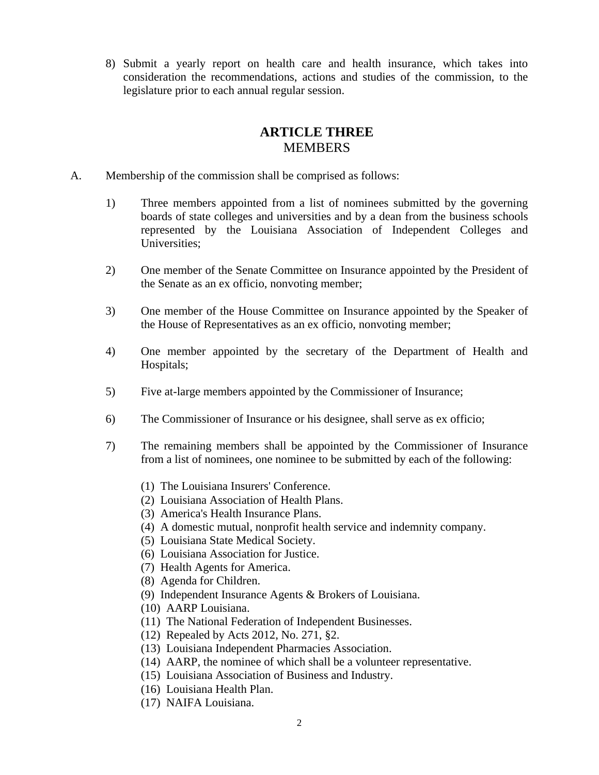8) Submit a yearly report on health care and health insurance, which takes into consideration the recommendations, actions and studies of the commission, to the legislature prior to each annual regular session.

# **ARTICLE THREE MEMBERS**

- A. Membership of the commission shall be comprised as follows:
	- 1) Three members appointed from a list of nominees submitted by the governing boards of state colleges and universities and by a dean from the business schools represented by the Louisiana Association of Independent Colleges and Universities;
	- 2) One member of the Senate Committee on Insurance appointed by the President of the Senate as an ex officio, nonvoting member;
	- 3) One member of the House Committee on Insurance appointed by the Speaker of the House of Representatives as an ex officio, nonvoting member;
	- 4) One member appointed by the secretary of the Department of Health and Hospitals;
	- 5) Five at-large members appointed by the Commissioner of Insurance;
	- 6) The Commissioner of Insurance or his designee, shall serve as ex officio;
	- 7) The remaining members shall be appointed by the Commissioner of Insurance from a list of nominees, one nominee to be submitted by each of the following:
		- (1) The Louisiana Insurers' Conference.
		- (2) Louisiana Association of Health Plans.
		- (3) America's Health Insurance Plans.
		- (4) A domestic mutual, nonprofit health service and indemnity company.
		- (5) Louisiana State Medical Society.
		- (6) Louisiana Association for Justice.
		- (7) Health Agents for America.
		- (8) Agenda for Children.
		- (9) Independent Insurance Agents & Brokers of Louisiana.
		- (10) AARP Louisiana.
		- (11) The National Federation of Independent Businesses.
		- (12) Repealed by Acts 2012, No. 271, §2.
		- (13) Louisiana Independent Pharmacies Association.
		- (14) AARP, the nominee of which shall be a volunteer representative.
		- (15) Louisiana Association of Business and Industry.
		- (16) Louisiana Health Plan.
		- (17) NAIFA Louisiana.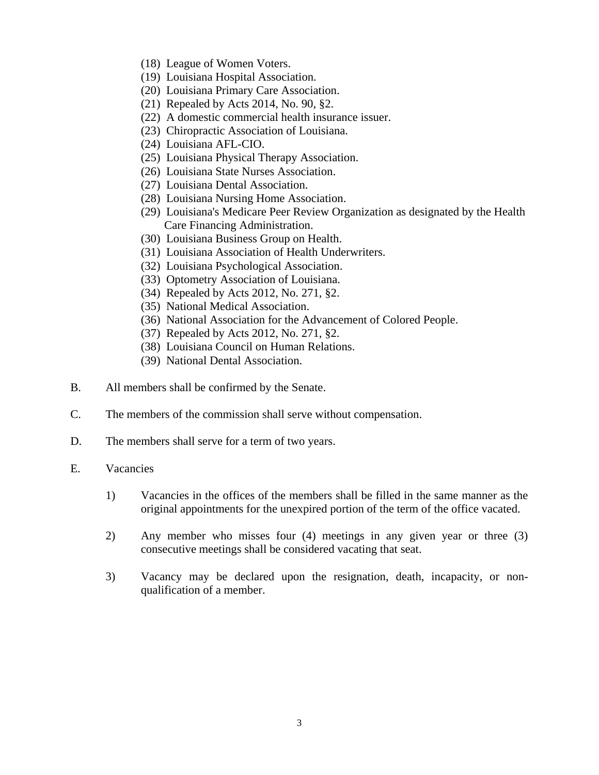- (18) League of Women Voters.
- (19) Louisiana Hospital Association.
- (20) Louisiana Primary Care Association.
- (21) Repealed by Acts 2014, No. 90, §2.
- (22) A domestic commercial health insurance issuer.
- (23) Chiropractic Association of Louisiana.
- (24) Louisiana AFL-CIO.
- (25) Louisiana Physical Therapy Association.
- (26) Louisiana State Nurses Association.
- (27) Louisiana Dental Association.
- (28) Louisiana Nursing Home Association.
- (29) Louisiana's Medicare Peer Review Organization as designated by the Health Care Financing Administration.
- (30) Louisiana Business Group on Health.
- (31) Louisiana Association of Health Underwriters.
- (32) Louisiana Psychological Association.
- (33) Optometry Association of Louisiana.
- (34) Repealed by Acts 2012, No. 271, §2.
- (35) National Medical Association.
- (36) National Association for the Advancement of Colored People.
- (37) Repealed by Acts 2012, No. 271, §2.
- (38) Louisiana Council on Human Relations.
- (39) National Dental Association.
- B. All members shall be confirmed by the Senate.
- C. The members of the commission shall serve without compensation.
- D. The members shall serve for a term of two years.
- E. Vacancies
	- 1) Vacancies in the offices of the members shall be filled in the same manner as the original appointments for the unexpired portion of the term of the office vacated.
	- 2) Any member who misses four (4) meetings in any given year or three (3) consecutive meetings shall be considered vacating that seat.
	- 3) Vacancy may be declared upon the resignation, death, incapacity, or nonqualification of a member.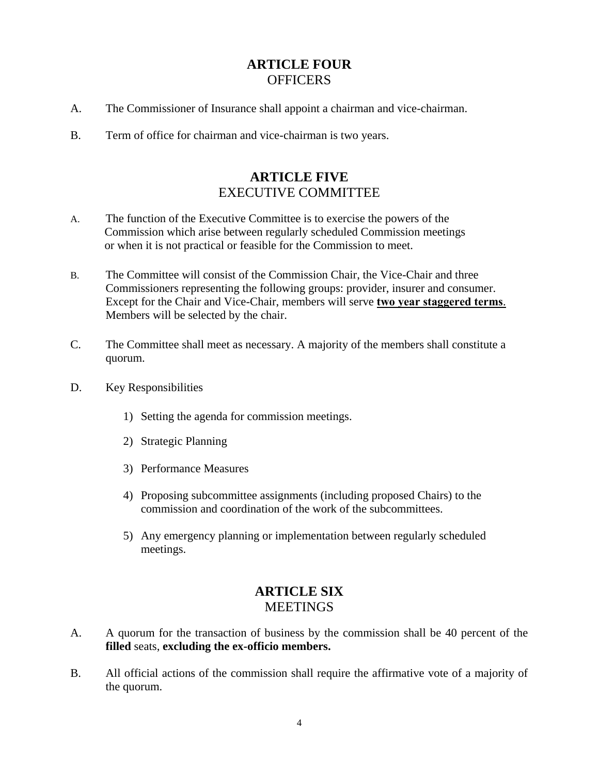# **ARTICLE FOUR OFFICERS**

- A. The Commissioner of Insurance shall appoint a chairman and vice-chairman.
- B. Term of office for chairman and vice-chairman is two years.

## **ARTICLE FIVE** EXECUTIVE COMMITTEE

- A. The function of the Executive Committee is to exercise the powers of the Commission which arise between regularly scheduled Commission meetings or when it is not practical or feasible for the Commission to meet.
- B. The Committee will consist of the Commission Chair, the Vice-Chair and three Commissioners representing the following groups: provider, insurer and consumer. Except for the Chair and Vice-Chair, members will serve **two year staggered terms**. Members will be selected by the chair.
- C. The Committee shall meet as necessary. A majority of the members shall constitute a quorum.
- D. Key Responsibilities
	- 1) Setting the agenda for commission meetings.
	- 2) Strategic Planning
	- 3) Performance Measures
	- 4) Proposing subcommittee assignments (including proposed Chairs) to the commission and coordination of the work of the subcommittees.
	- 5) Any emergency planning or implementation between regularly scheduled meetings.

# **ARTICLE SIX MEETINGS**

- A. A quorum for the transaction of business by the commission shall be 40 percent of the **filled** seats, **excluding the ex-officio members.**
- B. All official actions of the commission shall require the affirmative vote of a majority of the quorum.